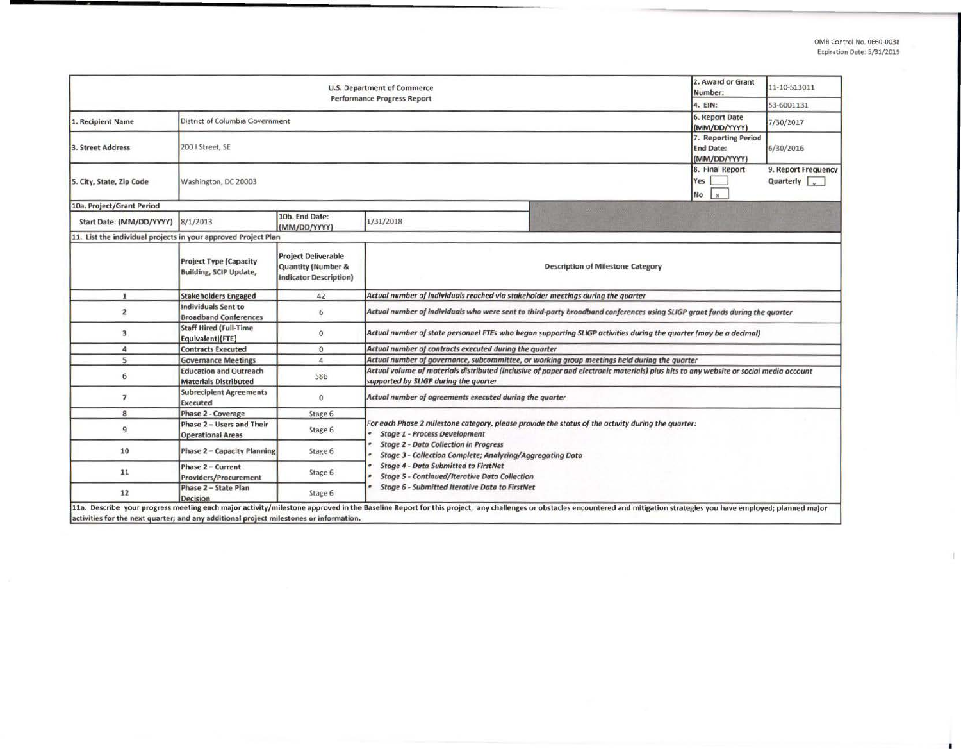|                                                                                        | 2. Award or Grant<br>Number:                                   | 11-10-S13011                                                                                 |                                                                                                                                                                                |  |                                                                                                                                                                                                                        |  |  |  |  |  |
|----------------------------------------------------------------------------------------|----------------------------------------------------------------|----------------------------------------------------------------------------------------------|--------------------------------------------------------------------------------------------------------------------------------------------------------------------------------|--|------------------------------------------------------------------------------------------------------------------------------------------------------------------------------------------------------------------------|--|--|--|--|--|
|                                                                                        | 4. EIN:                                                        | 53-6001131                                                                                   |                                                                                                                                                                                |  |                                                                                                                                                                                                                        |  |  |  |  |  |
| 1. Recipient Name                                                                      | District of Columbia Government                                | 6. Report Date<br>(MM/DD/YYYY)                                                               | 7/30/2017                                                                                                                                                                      |  |                                                                                                                                                                                                                        |  |  |  |  |  |
| 3. Street Address                                                                      | 200   Street, SE                                               | 7. Reporting Period<br><b>End Date:</b><br>(MM/DD/YYYY)                                      | 6/30/2016                                                                                                                                                                      |  |                                                                                                                                                                                                                        |  |  |  |  |  |
| 5. City, State, Zip Code                                                               | Washington, DC 20003                                           | 8. Final Report<br>Yes<br><b>No</b><br>$\mathbf{x}$                                          | 9. Report Frequency<br><b>Quarterly</b>                                                                                                                                        |  |                                                                                                                                                                                                                        |  |  |  |  |  |
| 10a. Project/Grant Period                                                              |                                                                |                                                                                              |                                                                                                                                                                                |  |                                                                                                                                                                                                                        |  |  |  |  |  |
| Start Date: (MM/DD/YYYY)                                                               | 8/1/2013                                                       | 10b. End Date:<br>(MM/DD/YYYY)                                                               | 1/31/2018                                                                                                                                                                      |  |                                                                                                                                                                                                                        |  |  |  |  |  |
| 11. List the individual projects in your approved Project Plan                         |                                                                |                                                                                              |                                                                                                                                                                                |  |                                                                                                                                                                                                                        |  |  |  |  |  |
|                                                                                        | <b>Project Type (Capacity</b><br><b>Building, SCIP Update,</b> | <b>Project Deliverable</b><br><b>Quantity (Number &amp;</b><br><b>Indicator Description)</b> | <b>Description of Milestone Category</b>                                                                                                                                       |  |                                                                                                                                                                                                                        |  |  |  |  |  |
| $\mathbf{1}$                                                                           | <b>Stakeholders Engaged</b>                                    | 42                                                                                           | Actual number of individuals reached via stakeholder meetings during the quarter                                                                                               |  |                                                                                                                                                                                                                        |  |  |  |  |  |
| $\overline{\mathbf{2}}$                                                                | Individuals Sent to<br><b>Broadband Conferences</b>            | 6                                                                                            | Actual number of individuals who were sent to third-party broadband conferences using SLIGP grant funds during the quarter                                                     |  |                                                                                                                                                                                                                        |  |  |  |  |  |
| 3                                                                                      | <b>Staff Hired (Full-Time</b><br>Equivalent)(FTE)              | $\mathbf{0}$                                                                                 | Actual number of state personnel FTEs who began supporting SLIGP activities during the quarter (may be a decimal)                                                              |  |                                                                                                                                                                                                                        |  |  |  |  |  |
| 4                                                                                      | <b>Contracts Executed</b>                                      | $\bf{0}$                                                                                     | Actual number of contracts executed during the quarter                                                                                                                         |  |                                                                                                                                                                                                                        |  |  |  |  |  |
| 5                                                                                      | <b>Governance Meetings</b>                                     | $\overline{a}$                                                                               | Actual number of governance, subcommittee, or working group meetings held during the quarter                                                                                   |  |                                                                                                                                                                                                                        |  |  |  |  |  |
| 6                                                                                      | <b>Education and Outreach</b><br><b>Materials Distributed</b>  | 586                                                                                          | Actual volume of materials distributed (inclusive of paper and electronic materials) plus hits to any website or social media account<br>supported by SLIGP during the quarter |  |                                                                                                                                                                                                                        |  |  |  |  |  |
| $\overline{7}$                                                                         | <b>Subrecipient Agreements</b><br><b>Executed</b>              | $\bf{0}$                                                                                     | Actual number of agreements executed during the quarter                                                                                                                        |  |                                                                                                                                                                                                                        |  |  |  |  |  |
| 8                                                                                      | Phase 2 - Coverage                                             | Stage 6                                                                                      |                                                                                                                                                                                |  |                                                                                                                                                                                                                        |  |  |  |  |  |
| $\overline{9}$                                                                         | Phase 2 - Users and Their<br><b>Operational Areas</b>          | Stage 6                                                                                      | For each Phase 2 milestone category, please provide the status of the activity during the quarter:<br><b>Stage 1 - Process Development</b>                                     |  |                                                                                                                                                                                                                        |  |  |  |  |  |
| 10                                                                                     | <b>Phase 2 - Capacity Planning</b>                             | Stage 6                                                                                      | <b>Stage 2 - Data Collection in Progress</b><br>Stage 3 - Collection Complete; Analyzing/Aggregating Data                                                                      |  |                                                                                                                                                                                                                        |  |  |  |  |  |
| 11                                                                                     | Phase 2 - Current<br>Providers/Procurement                     | Stage 6                                                                                      | <b>Stage 4 - Data Submitted to FirstNet</b><br><b>Stage 5 - Continued/Iterative Data Collection</b>                                                                            |  |                                                                                                                                                                                                                        |  |  |  |  |  |
| 12                                                                                     | Phase 2 - State Plan<br><b>Decision</b>                        | Stage 6                                                                                      | <b>Stage 6 - Submitted Iterative Data to FirstNet</b>                                                                                                                          |  |                                                                                                                                                                                                                        |  |  |  |  |  |
| activities for the next quarter; and any additional project milestones or information. |                                                                |                                                                                              |                                                                                                                                                                                |  | 11a. Describe your progress meeting each major activity/milestone approved in the Baseline Report for this project; any challenges or obstacles encountered and mitigation strategies you have employed; planned major |  |  |  |  |  |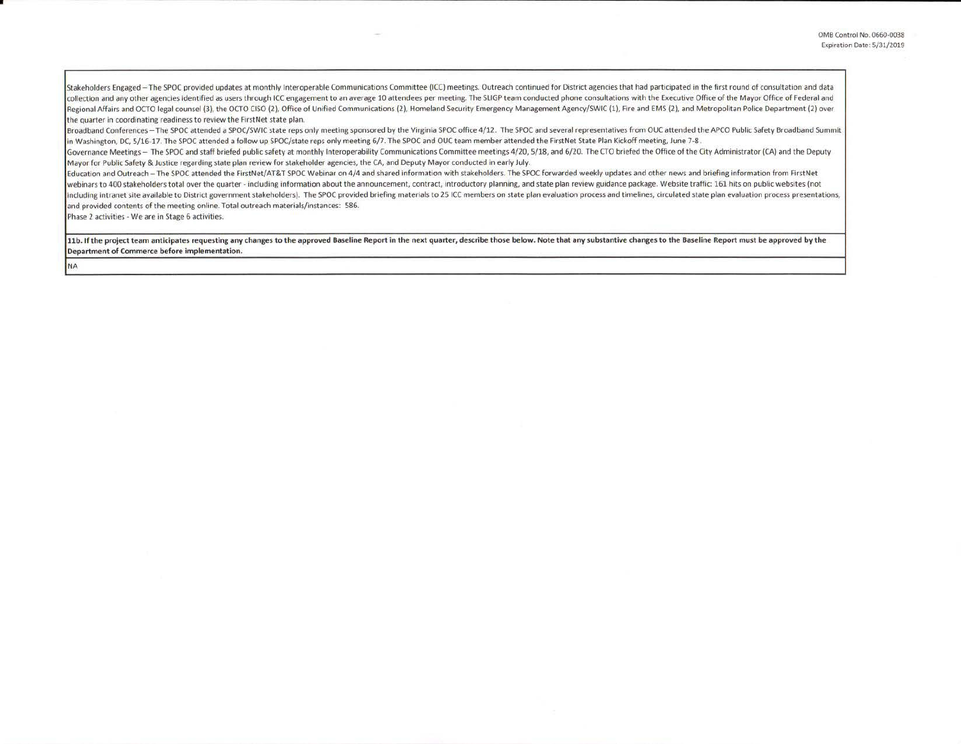Stakeholders Engaged - The SPOC provided updates at monthly Interoperable Communications Committee (ICC) meetings. Outreach continued for District agencies that had participated in the first round of consultation and data collection and any other agencies identified as users through ICC engagement to an average 10 attendees per meeting. The SLIGP team conducted phone consultations with the Executive Office of the Mayor Office of Federal and Regional Affairs and OCTO legal counsel (3), the OCTO CISO (2), Office of Unified Communications (2), Homeland Security Emergency Management Agency/SWIC (1), Fire and EMS (2), and Metropolitan Police Department (2) over the quarter in coordinating readiness to review the First Net state plan.

Broadband Conferences - The SPOC attended a SPOC/SWIC state reps only meeting sponsored by the Virginia SPOC office 4/12. The SPOC and several representatives from OUC attended the APCO Public Safety Broadband Summit in Washington, DC, 5/16-17. The SPOC attended a follow up SPOC/state reps only meeting 6/7. The SPOC and OUC team member attended the FirstNet State Plan Kickoff meeting, June 7-8.

Governance Meetings - The SPOC and staff briefed public safety at monthly Interoperability Communications Committee meetings 4/20, 5/18, and 6/20. The CTO briefed the Office of the City Administrator (CA) and the Deputy Mayor for Public Safety & Justice regarding state plan review for stakeholder agencies, the CA, and Deputy Mayor conducted in early July.

Education and Outreach - The SPOC attended the FirstNet/AT&T SPOC Webinar on 4/4 and shared information with stakeholders. The SPOC forwarded weekly updates and other news and briefing information from FirstNet webinars to 400 stakeholders total over the quarter - including information about the announcement, contract, introductory planning, and state plan review guidance package. Website traffic: 161 hits on public websites (not including intranet site available to District government stakeholders). The SPOC provided briefing materials to 25 ICC members on state plan evaluation process and timelines, circulated state plan evaluation process presen and provided contents of the meeting online. Total outreach materials/instances: 586.

Phase 2 activities - We are in Stage 6 activities.

NA

11b. If the project team anticipates requesting any changes to the approved Baseline Report in the next quarter, describe those below. Note that any substantive changes to the Baseline Report must be approved by the Department of Commerce before implementation.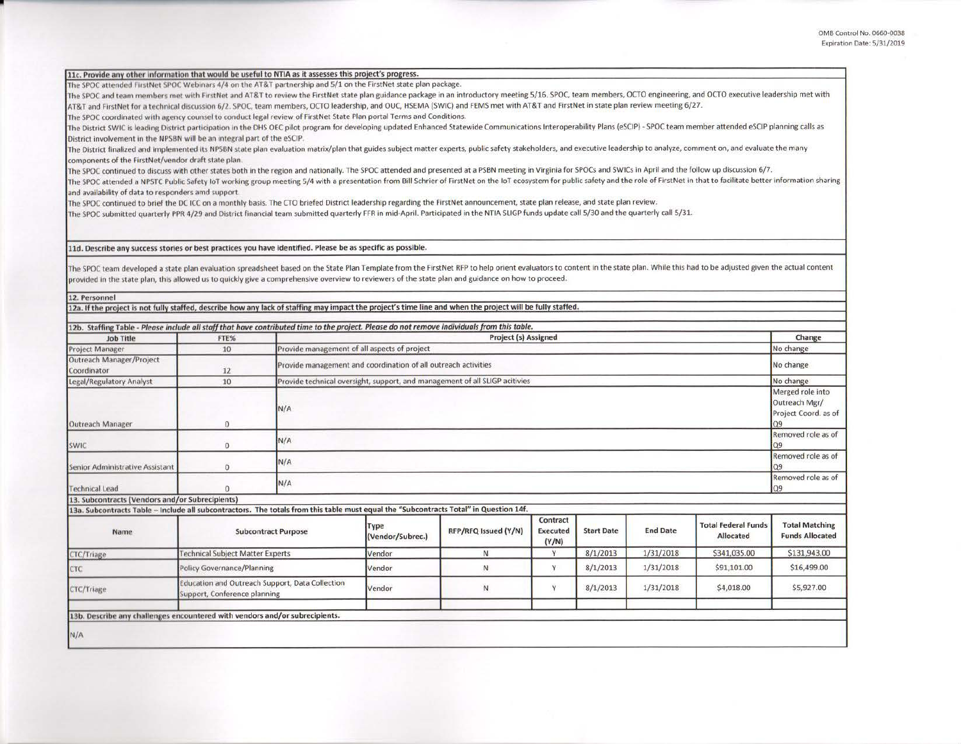| 11c. Provide any other information that would be useful to NTIA as it assesses this project's progress.                                                                                                                                                                                                                                                                                                      |                                                                                 |                                                                                                                                                                            |                  |                                                                             |                 |                   |                 |                            |                                                 |  |
|--------------------------------------------------------------------------------------------------------------------------------------------------------------------------------------------------------------------------------------------------------------------------------------------------------------------------------------------------------------------------------------------------------------|---------------------------------------------------------------------------------|----------------------------------------------------------------------------------------------------------------------------------------------------------------------------|------------------|-----------------------------------------------------------------------------|-----------------|-------------------|-----------------|----------------------------|-------------------------------------------------|--|
| The SPOC attended FirstNet SPOC Webinars 4/4 on the AT&T partnership and 5/1 on the FirstNet state plan package.                                                                                                                                                                                                                                                                                             |                                                                                 |                                                                                                                                                                            |                  |                                                                             |                 |                   |                 |                            |                                                 |  |
| The SPOC and team members met with FirstNet and AT&T to review the FirstNet state plan guidance package in an introductory meeting 5/16. SPOC, team members, OCTO engineering, and OCTO executive leadership met with<br>AT&T and FirstNet for a technical discussion 6/2. SPOC, team members, OCTO leadership, and OUC, HSEMA (SWIC) and FEMS met with AT&T and FirstNet in state plan review meeting 6/27. |                                                                                 |                                                                                                                                                                            |                  |                                                                             |                 |                   |                 |                            |                                                 |  |
| The SPOC coordinated with agency counsel to conduct legal review of FirstNet State Plan portal Terms and Conditions.                                                                                                                                                                                                                                                                                         |                                                                                 |                                                                                                                                                                            |                  |                                                                             |                 |                   |                 |                            |                                                 |  |
| The District SWIC is leading District participation in the DHS OEC pilot program for developing updated Enhanced Statewide Communications Interoperability Plans (eSCIP) - SPOC team member attended eSCIP planning calls as                                                                                                                                                                                 |                                                                                 |                                                                                                                                                                            |                  |                                                                             |                 |                   |                 |                            |                                                 |  |
| District involvement in the NPSBN will be an integral part of the eSCIP.                                                                                                                                                                                                                                                                                                                                     |                                                                                 |                                                                                                                                                                            |                  |                                                                             |                 |                   |                 |                            |                                                 |  |
| The District finalized and implemented its NPSBN state plan evaluation matrix/plan that guides subject matter experts, public safety stakeholders, and executive leadership to analyze, comment on, and evaluate the many                                                                                                                                                                                    |                                                                                 |                                                                                                                                                                            |                  |                                                                             |                 |                   |                 |                            |                                                 |  |
| components of the FirstNet/vendor draft state plan.                                                                                                                                                                                                                                                                                                                                                          |                                                                                 |                                                                                                                                                                            |                  |                                                                             |                 |                   |                 |                            |                                                 |  |
| The SPOC continued to discuss with other states both in the region and nationally. The SPOC attended and presented at a PSBN meeting in Virginia for SPOCs and SWICs in April and the follow up discussion 6/7.                                                                                                                                                                                              |                                                                                 |                                                                                                                                                                            |                  |                                                                             |                 |                   |                 |                            |                                                 |  |
| The SPOC attended a NPSTC Public Safety IoT working group meeting 5/4 with a presentation from Bill Schrier of FirstNet on the IoT ecosystem for public safety and the role of FirstNet in that to facilitate better informati                                                                                                                                                                               |                                                                                 |                                                                                                                                                                            |                  |                                                                             |                 |                   |                 |                            |                                                 |  |
| and availability of data to responders amd support.                                                                                                                                                                                                                                                                                                                                                          |                                                                                 |                                                                                                                                                                            |                  |                                                                             |                 |                   |                 |                            |                                                 |  |
| The SPOC continued to brief the DC ICC on a monthly basis. The CTO briefed District leadership regarding the FirstNet announcement, state plan release, and state plan review.                                                                                                                                                                                                                               |                                                                                 |                                                                                                                                                                            |                  |                                                                             |                 |                   |                 |                            |                                                 |  |
| The SPOC submitted quarterly PPR 4/29 and District financial team submitted quarterly FFR in mid-April. Participated in the NTIA SLIGP funds update call 5/30 and the quarterly call 5/31.                                                                                                                                                                                                                   |                                                                                 |                                                                                                                                                                            |                  |                                                                             |                 |                   |                 |                            |                                                 |  |
|                                                                                                                                                                                                                                                                                                                                                                                                              |                                                                                 |                                                                                                                                                                            |                  |                                                                             |                 |                   |                 |                            |                                                 |  |
|                                                                                                                                                                                                                                                                                                                                                                                                              |                                                                                 |                                                                                                                                                                            |                  |                                                                             |                 |                   |                 |                            |                                                 |  |
| 11d. Describe any success stories or best practices you have identified. Please be as specific as possible.                                                                                                                                                                                                                                                                                                  |                                                                                 |                                                                                                                                                                            |                  |                                                                             |                 |                   |                 |                            |                                                 |  |
| The SPOC team developed a state plan evaluation spreadsheet based on the State Plan Template from the FirstNet RFP to help orient evaluators to content in the state plan. While this had to be adjusted given the actual cont                                                                                                                                                                               |                                                                                 |                                                                                                                                                                            |                  |                                                                             |                 |                   |                 |                            |                                                 |  |
| provided in the state plan, this allowed us to quickly give a comprehensive overview to reviewers of the state plan and guidance on how to proceed.                                                                                                                                                                                                                                                          |                                                                                 |                                                                                                                                                                            |                  |                                                                             |                 |                   |                 |                            |                                                 |  |
|                                                                                                                                                                                                                                                                                                                                                                                                              |                                                                                 |                                                                                                                                                                            |                  |                                                                             |                 |                   |                 |                            |                                                 |  |
| 12. Personnel                                                                                                                                                                                                                                                                                                                                                                                                |                                                                                 |                                                                                                                                                                            |                  |                                                                             |                 |                   |                 |                            |                                                 |  |
| 12a. If the project is not fully staffed, describe how any lack of staffing may impact the project's time line and when the project will be fully staffed.                                                                                                                                                                                                                                                   |                                                                                 |                                                                                                                                                                            |                  |                                                                             |                 |                   |                 |                            |                                                 |  |
|                                                                                                                                                                                                                                                                                                                                                                                                              |                                                                                 |                                                                                                                                                                            |                  |                                                                             |                 |                   |                 |                            |                                                 |  |
| <b>Job Title</b>                                                                                                                                                                                                                                                                                                                                                                                             | FTE%                                                                            | 12b. Staffing Table - Please include all staff that have contributed time to the project. Please do not remove individuals from this table.<br><b>Project (s) Assigned</b> |                  |                                                                             |                 |                   |                 |                            | Change                                          |  |
| <b>Project Manager</b>                                                                                                                                                                                                                                                                                                                                                                                       | 10                                                                              | Provide management of all aspects of project                                                                                                                               |                  |                                                                             |                 |                   |                 | No change                  |                                                 |  |
| Outreach Manager/Project                                                                                                                                                                                                                                                                                                                                                                                     |                                                                                 |                                                                                                                                                                            |                  |                                                                             |                 |                   |                 |                            |                                                 |  |
| Coordinator                                                                                                                                                                                                                                                                                                                                                                                                  | 12                                                                              | Provide management and coordination of all outreach activities                                                                                                             |                  |                                                                             |                 |                   | No change       |                            |                                                 |  |
| Legal/Regulatory Analyst                                                                                                                                                                                                                                                                                                                                                                                     | 10                                                                              |                                                                                                                                                                            |                  | Provide technical oversight, support, and management of all SLIGP acitivies |                 |                   |                 |                            | No change                                       |  |
|                                                                                                                                                                                                                                                                                                                                                                                                              |                                                                                 |                                                                                                                                                                            |                  |                                                                             |                 |                   |                 |                            |                                                 |  |
|                                                                                                                                                                                                                                                                                                                                                                                                              |                                                                                 | N/A                                                                                                                                                                        |                  |                                                                             |                 |                   |                 |                            | Outreach Mgr/<br>Project Coord. as of           |  |
|                                                                                                                                                                                                                                                                                                                                                                                                              |                                                                                 |                                                                                                                                                                            |                  |                                                                             |                 |                   |                 |                            |                                                 |  |
| <b>Outreach Manager</b>                                                                                                                                                                                                                                                                                                                                                                                      | $\mathbf{0}$                                                                    |                                                                                                                                                                            |                  |                                                                             |                 |                   |                 |                            | $\Omega$                                        |  |
|                                                                                                                                                                                                                                                                                                                                                                                                              |                                                                                 | N/A                                                                                                                                                                        |                  | Removed role as of<br><b>Q9</b>                                             |                 |                   |                 |                            |                                                 |  |
| SWIC                                                                                                                                                                                                                                                                                                                                                                                                         | $\bf{0}$                                                                        |                                                                                                                                                                            |                  |                                                                             |                 |                   |                 |                            |                                                 |  |
| Senior Administrative Assistant                                                                                                                                                                                                                                                                                                                                                                              | $\mathbf{0}$                                                                    | N/A                                                                                                                                                                        |                  |                                                                             |                 |                   |                 |                            | Removed role as of<br>O <sub>9</sub>            |  |
|                                                                                                                                                                                                                                                                                                                                                                                                              |                                                                                 |                                                                                                                                                                            |                  |                                                                             |                 |                   |                 |                            |                                                 |  |
| <b>Fechnical Lead</b>                                                                                                                                                                                                                                                                                                                                                                                        | $\Omega$                                                                        | N/A                                                                                                                                                                        |                  |                                                                             |                 |                   |                 |                            | Removed role as of<br>Q9                        |  |
| 13. Subcontracts (Vendors and/or Subrecipients)                                                                                                                                                                                                                                                                                                                                                              |                                                                                 |                                                                                                                                                                            |                  |                                                                             |                 |                   |                 |                            |                                                 |  |
| 13a. Subcontracts Table - Include all subcontractors. The totals from this table must equal the "Subcontracts Total" in Question 14f.                                                                                                                                                                                                                                                                        |                                                                                 |                                                                                                                                                                            |                  |                                                                             |                 |                   |                 |                            |                                                 |  |
|                                                                                                                                                                                                                                                                                                                                                                                                              |                                                                                 |                                                                                                                                                                            |                  |                                                                             | Contract        |                   |                 |                            |                                                 |  |
| Name                                                                                                                                                                                                                                                                                                                                                                                                         | <b>Subcontract Purpose</b><br><b>Technical Subject Matter Experts</b>           |                                                                                                                                                                            | Type             | RFP/RFQ Issued (Y/N)                                                        | <b>Executed</b> | <b>Start Date</b> | <b>End Date</b> | <b>Total Federal Funds</b> | <b>Total Matching</b><br><b>Funds Allocated</b> |  |
|                                                                                                                                                                                                                                                                                                                                                                                                              |                                                                                 |                                                                                                                                                                            | (Vendor/Subrec.) |                                                                             | (Y/N)           |                   |                 | Allocated                  |                                                 |  |
| CTC/Triage                                                                                                                                                                                                                                                                                                                                                                                                   |                                                                                 |                                                                                                                                                                            | Vendor           | N                                                                           | Y               | 8/1/2013          | 1/31/2018       | \$341,035.00               | \$131,943.00                                    |  |
| CTC                                                                                                                                                                                                                                                                                                                                                                                                          | Policy Governance/Planning                                                      |                                                                                                                                                                            | Vendor           | N                                                                           | Y               | 8/1/2013          | 1/31/2018       | \$91,101.00                | \$16,499.00                                     |  |
|                                                                                                                                                                                                                                                                                                                                                                                                              | Education and Outreach Support, Data Collection<br>Support, Conference planning |                                                                                                                                                                            |                  |                                                                             |                 |                   |                 |                            |                                                 |  |
| CTC/Triage                                                                                                                                                                                                                                                                                                                                                                                                   |                                                                                 |                                                                                                                                                                            | Vendor           | $\mathsf{N}$                                                                | Y               | 8/1/2013          | 1/31/2018       | \$4,018.00                 | \$5,927.00                                      |  |
|                                                                                                                                                                                                                                                                                                                                                                                                              |                                                                                 |                                                                                                                                                                            |                  |                                                                             |                 |                   |                 |                            |                                                 |  |
| 13b. Describe any challenges encountered with vendors and/or subrecipients.                                                                                                                                                                                                                                                                                                                                  |                                                                                 |                                                                                                                                                                            |                  |                                                                             |                 |                   |                 |                            |                                                 |  |
|                                                                                                                                                                                                                                                                                                                                                                                                              |                                                                                 |                                                                                                                                                                            |                  |                                                                             |                 |                   |                 |                            |                                                 |  |
| N/A                                                                                                                                                                                                                                                                                                                                                                                                          |                                                                                 |                                                                                                                                                                            |                  |                                                                             |                 |                   |                 |                            |                                                 |  |
|                                                                                                                                                                                                                                                                                                                                                                                                              |                                                                                 |                                                                                                                                                                            |                  |                                                                             |                 |                   |                 |                            |                                                 |  |

•